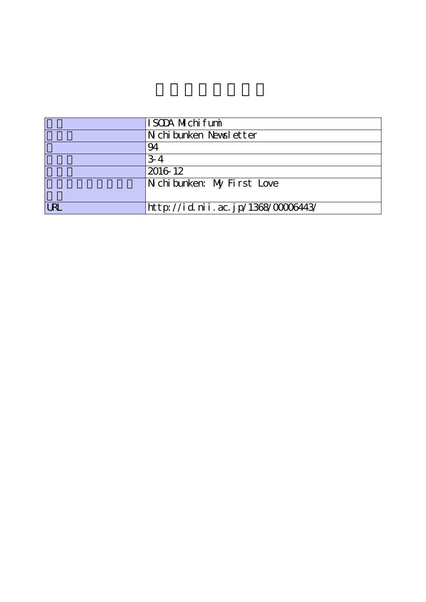|            | ISODA Michifumi                    |
|------------|------------------------------------|
|            | Nichibunken Newsletter             |
|            | 94                                 |
|            | $3-4$                              |
|            | 2016 12                            |
|            | Nichibunken: My First Love         |
|            |                                    |
| <b>URL</b> | http://id.nii.ac.jp/1368/00006443/ |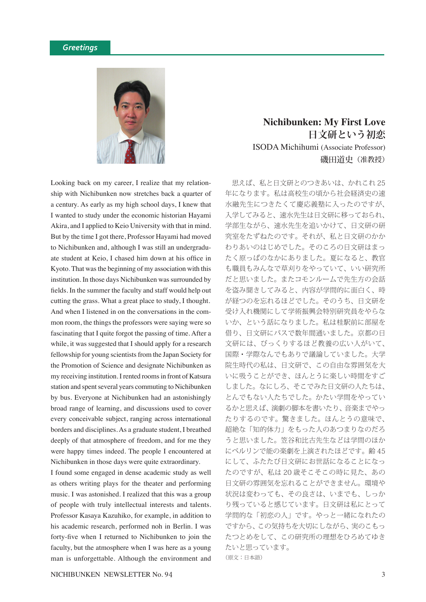

Looking back on my career, I realize that my relationship with Nichibunken now stretches back a quarter of a century. As early as my high school days, I knew that I wanted to study under the economic historian Hayami Akira, and I applied to Keio University with that in mind. But by the time I got there, Professor Hayami had moved to Nichibunken and, although I was still an undergraduate student at Keio, I chased him down at his office in Kyoto. That was the beginning of my association with this institution. In those days Nichibunken was surrounded by fields. In the summer the faculty and staff would help out cutting the grass. What a great place to study, I thought. And when I listened in on the conversations in the common room, the things the professors were saying were so fascinating that I quite forgot the passing of time. After a while, it was suggested that I should apply for a research fellowship for young scientists from the Japan Society for the Promotion of Science and designate Nichibunken as my receiving institution. I rented rooms in front of Katsura station and spent several years commuting to Nichibunken by bus. Everyone at Nichibunken had an astonishingly broad range of learning, and discussions used to cover every conceivable subject, ranging across international borders and disciplines. As a graduate student, I breathed deeply of that atmosphere of freedom, and for me they were happy times indeed. The people I encountered at Nichibunken in those days were quite extraordinary.

I found some engaged in dense academic study as well as others writing plays for the theater and performing music. I was astonished. I realized that this was a group of people with truly intellectual interests and talents. Professor Kasaya Kazuhiko, for example, in addition to his academic research, performed noh in Berlin. I was forty-five when I returned to Nichibunken to join the faculty, but the atmosphere when I was here as a young man is unforgettable. Although the environment and

## **Nichibunken: My First Love 日文研という初恋** ISODA Michihumi (Associate Professor) 磯田道史(准教授)

 思えば、私と日文研とのつきあいは、かれこれ 25 年になります。私は高校生の頃から社会経済史の速 水融先生につきたくて慶応義塾に入ったのですが、 入学してみると、速水先生は日文研に移っておられ、 学部生ながら、速水先生を追いかけて、日文研の研 究室をたずねたのです。それが、私と日文研のかか わりあいのはじめでした。そのころの日文研はまっ たく原っぱのなかにありました。夏になると、教官 も職員もみんなで草刈りをやっていて、いい研究所 だと思いました。またコモンルームで先生方の会話 を盗み聞きしてみると、内容が学問的に面白く、時 が経つのを忘れるほどでした。そのうち、日文研を 受け入れ機関にして学術振興会特別研究員をやらな いか、という話になりました。私は桂駅前に部屋を 借り、日文研にバスで数年間通いました。京都の日 文研には、びっくりするほど教養の広い人がいて、 国際・学際なんでもありで議論していました。大学 院生時代の私は、日文研で、この自由な雰囲気を大 いに吸うことができ、ほんとうに楽しい時間をすご しました。なにしろ、そこでみた日文研の人たちは、 とんでもない人たちでした。かたい学問をやってい るかと思えば、演劇の脚本を書いたり、音楽までやっ たりするのです。驚きました。ほんとうの意味で、 超絶な「知的体力」をもった人のあつまりなのだろ うと思いました。笠谷和比古先生などは学問のほか にベルリンで能の楽劇を上演されたほどです。齢 45 にして、ふたたび日文研にお世話になることになっ たのですが、私は 20 歳そこそこの時に見た、あの 日文研の雰囲気を忘れることができません。環境や 状況は変わっても、その良さは、いまでも、しっか り残っていると感じています。日文研は私にとって 学問的な「初恋の人」です。やっと一緒になれたの ですから、この気持ちを大切にしながら、実のこもっ たつとめをして、この研究所の理想をひろめてゆき たいと思っています。 (原文:日本語)